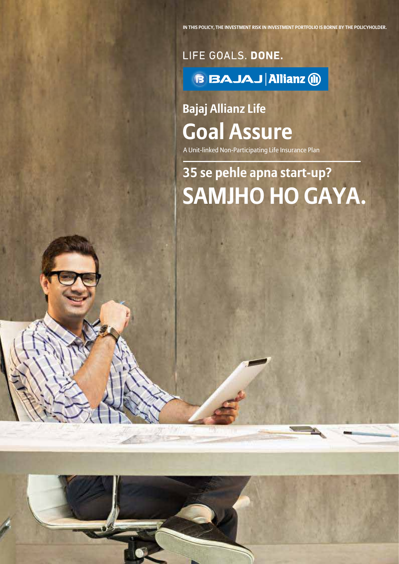LIFE GOALS. DONE. **BAJAJ Allianz 1** 

# **Bajaj Allianz Life Goal Assure**

A Unit-linked Non-Participating Life Insurance Plan

# **35 se pehle apna start-up? SAMJHO HO GAYA.**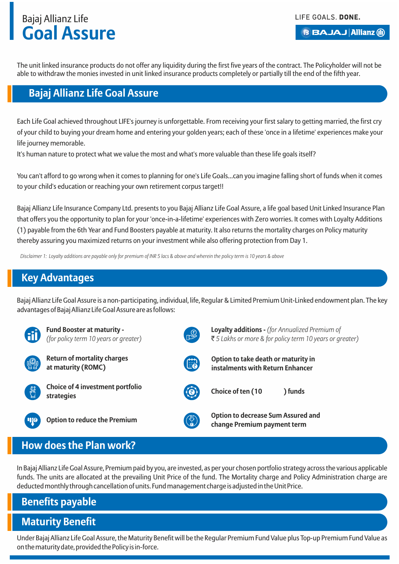

The unit linked insurance products do not offer any liquidity during the first five years of the contract. The Policyholder will not be able to withdraw the monies invested in unit linked insurance products completely or partially till the end of the fifth year.

### **Bajaj Allianz Life Goal Assure**

Each Life Goal achieved throughout LIFE's journey is unforgettable. From receiving your first salary to getting married, the first cry of your child to buying your dream home and entering your golden years; each of these 'once in a lifetime' experiences make your life journey memorable.

It's human nature to protect what we value the most and what's more valuable than these life goals itself?

You can't afford to go wrong when it comes to planning for one's Life Goals...can you imagine falling short of funds when it comes to your child's education or reaching your own retirement corpus target!!

Bajaj Allianz Life Insurance Company Ltd. presents to you Bajaj Allianz Life Goal Assure, a life goal based Unit Linked Insurance Plan that offers you the opportunity to plan for your 'once-in-a-lifetime' experiences with Zero worries. It comes with Loyalty Additions (1) payable from the 6th Year and Fund Boosters payable at maturity. It also returns the mortality charges on Policy maturity thereby assuring you maximized returns on your investment while also offering protection from Day 1.

*Disclaimer 1: Loyalty additions are payable only for premium of INR 5 lacs & above and wherein the policy term is 10 years & above*

## **Key Advantages**

Bajaj Allianz Life Goal Assure is a non-participating, individual, life, Regular & Limited Premium Unit-Linked endowment plan. The key advantages of Bajaj Allianz Life Goal Assure are as follows:



**Fund Booster at maturity -**  *(for policy term 10 years or greater)*



**Return of mortality charges at maturity (ROMC)**



**Loyalty additions -** *(for Annualized Premium of* ` *5 Lakhs or more & for policy term 10 years or greater)*



**Option to take death or maturity in instalments with Return Enhancer**



**Option to decrease Sum Assured and change Premium contracts** option to reduce the Premium **contracts** of the change Premium payment term

## **How does the Plan work?**

In Bajaj Allianz Life Goal Assure, Premium paid by you, are invested, as per your chosen portfolio strategy across the various applicable funds. The units are allocated at the prevailing Unit Price of the fund. The Mortality charge and Policy Administration charge are deducted monthly through cancellation of units. Fund management charge is adjusted in the Unit Price.

## **Benefits payable**

## **Maturity Benefit**

Under Bajaj Allianz Life Goal Assure, the Maturity Benefit will be the Regular Premium Fund Value plus Top-up Premium Fund Value as on the maturity date, provided the Policy is in-force.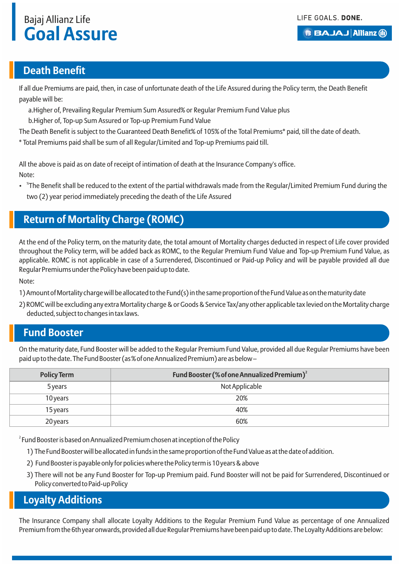#### **BBAJAJ Allianz (ii)**

### **Death Benefit**

If all due Premiums are paid, then, in case of unfortunate death of the Life Assured during the Policy term, the Death Benefit payable will be:

a. Higher of, Prevailing Regular Premium Sum Assured% or Regular Premium Fund Value plus

b. Higher of, Top-up Sum Assured or Top-up Premium Fund Value

The Death Benefit is subject to the Guaranteed Death Benefit% of 105% of the Total Premiums\* paid, till the date of death.

\* Total Premiums paid shall be sum of all Regular/Limited and Top-up Premiums paid till.

All the above is paid as on date of receipt of intimation of death at the Insurance Company's office. Note:

• <sup>\*</sup>The Benefit shall be reduced to the extent of the partial withdrawals made from the Regular/Limited Premium Fund during the two (2) year period immediately preceding the death of the Life Assured

## **Return of Mortality Charge (ROMC)**

At the end of the Policy term, on the maturity date, the total amount of Mortality charges deducted in respect of Life cover provided throughout the Policy term, will be added back as ROMC, to the Regular Premium Fund Value and Top-up Premium Fund Value, as applicable. ROMC is not applicable in case of a Surrendered, Discontinued or Paid-up Policy and will be payable provided all due Regular Premiums under the Policy have been paid up to date.

Note:

- 1) Amount of Mortality charge will be allocated to the Fund(s) in the same proportion of the Fund Value as on the maturity date
- 2) ROMC will be excluding any extra Mortality charge & or Goods & Service Tax/any other applicable tax levied on the Mortality charge deducted, subject to changes in tax laws.

### **Fund Booster**

On the maturity date, Fund Booster will be added to the Regular Premium Fund Value, provided all due Regular Premiums have been paid up to the date. The Fund Booster (as % of one Annualized Premium) are as below –

| <b>Policy Term</b> | Fund Booster (% of one Annualized Premium) <sup>2</sup> |  |
|--------------------|---------------------------------------------------------|--|
| 5 years            | Not Applicable                                          |  |
| 10 years           | 20%                                                     |  |
| 15 years           | 40%                                                     |  |
| 20 years           | 60%                                                     |  |

 $^{\text{2}}$  Fund Booster is based on Annualized Premium chosen at inception of the Policy

- 1) The Fund Booster will be allocated in funds in the same proportion of the Fund Value as at the date of addition.
- 2) Fund Booster is payable only for policies where the Policy term is 10 years & above
- 3) There will not be any Fund Booster for Top-up Premium paid. Fund Booster will not be paid for Surrendered, Discontinued or Policy converted to Paid-up Policy

### **Loyalty Additions**

The Insurance Company shall allocate Loyalty Additions to the Regular Premium Fund Value as percentage of one Annualized Premium from the 6th year onwards, provided all due Regular Premiums have been paid up to date. The Loyalty Additions are below: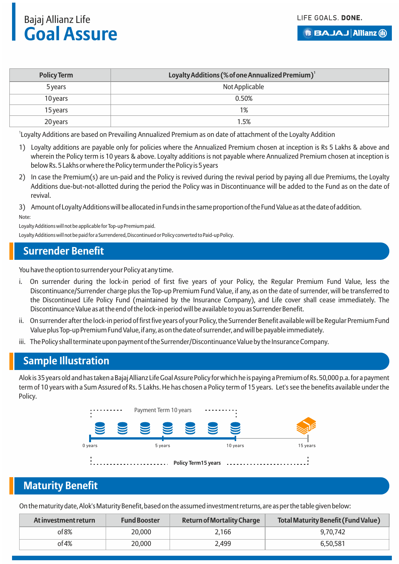LIFE GOALS. DONE.

**BBAJAJ Allianz (ii)** 

## Bajaj Allianz Life **Goal Assure**

| <b>Policy Term</b> | Loyalty Additions (% of one Annualized Premium) <sup>1</sup> |  |
|--------------------|--------------------------------------------------------------|--|
| 5 years            | Not Applicable                                               |  |
| 10 years           | 0.50%                                                        |  |
| 15 years           | 1%                                                           |  |
| 20 years           | 1.5%                                                         |  |

<sup>1</sup> Loyalty Additions are based on Prevailing Annualized Premium as on date of attachment of the Loyalty Addition

- 1) Loyalty additions are payable only for policies where the Annualized Premium chosen at inception is Rs 5 Lakhs & above and wherein the Policy term is 10 years & above. Loyalty additions is not payable where Annualized Premium chosen at inception is below Rs. 5 Lakhs or where the Policy term under the Policy is 5 years
- 2) In case the Premium(s) are un-paid and the Policy is revived during the revival period by paying all due Premiums, the Loyalty Additions due-but-not-allotted during the period the Policy was in Discontinuance will be added to the Fund as on the date of revival.

3) Amount of Loyalty Additions will be allocated in Funds in the same proportion of the Fund Value as at the date of addition. Note:

Loyalty Additions will not be applicable for Top-up Premium paid. Loyalty Additions will not be paid for a Surrendered, Discontinued or Policy converted to Paid-up Policy.

## **Surrender Benefit**

You have the option to surrender your Policy at any time.

- i. On surrender during the lock-in period of first five years of your Policy, the Regular Premium Fund Value, less the Discontinuance/Surrender charge plus the Top-up Premium Fund Value, if any, as on the date of surrender, will be transferred to the Discontinued Life Policy Fund (maintained by the Insurance Company), and Life cover shall cease immediately. The Discontinuance Value as at the end of the lock-in period will be available to you as Surrender Benefit.
- ii. On surrender after the lock-in period of first five years of your Policy, the Surrender Benefit available will be Regular Premium Fund Value plus Top-up Premium Fund Value, if any, as on the date of surrender, and will be payable immediately.
- iii. The Policy shall terminate upon payment of the Surrender/Discontinuance Value by the Insurance Company.

## **Sample Illustration**

Alok is 35 years old and has taken a Bajaj Allianz Life Goal Assure Policy for which he is paying a Premium of Rs. 50,000 p.a. for a payment term of 10 years with a Sum Assured of Rs. 5 Lakhs. He has chosen a Policy term of 15 years. Let's see the benefits available under the Policy.



## **Maturity Benefit**

On the maturity date, Alok's Maturity Benefit, based on the assumed investment returns, are as per the table given below:

| At investment return | <b>Fund Booster</b> | <b>Return of Mortality Charge</b> | <b>Total Maturity Benefit (Fund Value)</b> |
|----------------------|---------------------|-----------------------------------|--------------------------------------------|
| of 8%                | 20,000              | 2,166                             | 9.70.742                                   |
| of 4%                | 20,000              | 2,499                             | 6.50.581                                   |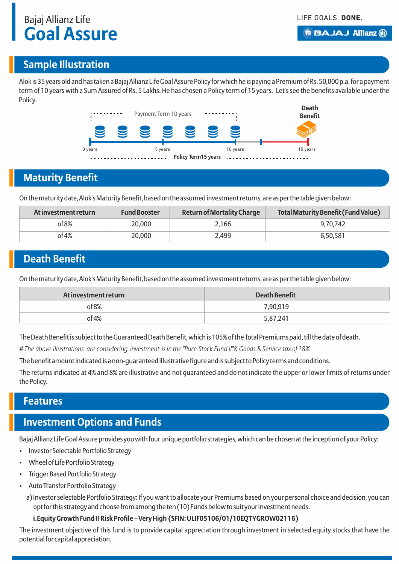#### **BBAJAJ Allianz (ii)**

### **Sample Illustration**

Alok is 35 years old and has taken a Bajaj Allianz Life Goal Assure Policy for which he is paying a Premium of Rs. 50,000 p.a. for a payment term of 10 years with a Sum Assured of Rs. 5 Lakhs. He has chosen a Policy term of 15 years. Let's see the benefits available under the Policy.



## **Maturity Benefit**

On the maturity date, Alok's Maturity Benefit, based on the assumed investment returns, are as per the table given below:

| At investment return | <b>Fund Booster</b> | <b>Return of Mortality Charge</b> | Total Maturity Benefit (Fund Value) |
|----------------------|---------------------|-----------------------------------|-------------------------------------|
| of 8%                | 20,000              | 2,166                             | 9.70.742                            |
| $of 4\%$             | 20,000              | 2,499                             | 6.50.581                            |

## **Death Benefit**

On the maturity date, Alok's Maturity Benefit, based on the assumed investment returns, are as per the table given below:

| At investment return | <b>Death Benefit</b> |
|----------------------|----------------------|
| of 8%                | 7,90,919             |
| of 4%                | 5,87,241             |

The Death Benefit is subject to the Guaranteed Death Benefit, which is 105% of the Total Premiums paid, till the date of death.

*# The above illustrations are considering investment is in the "Pure Stock Fund II"& Goods & Service tax of 18%*

The benefit amount indicated is a non-guaranteed illustrative figure and is subject to Policy terms and conditions.

The returns indicated at 4% and 8% are illustrative and not guaranteed and do not indicate the upper or lower limits of returns under the Policy.

#### **Features**

## **Investment Options and Funds**

Bajaj Allianz Life Goal Assure provides you with four unique portfolio strategies, which can be chosen at the inception of your Policy:

- Investor Selectable Portfolio Strategy
- Wheel of Life Portfolio Strategy
- Trigger Based Portfolio Strategy
- Auto Transfer Portfolio Strategy
	- a) Investor selectable Portfolio Strategy: If you want to allocate your Premiums based on your personal choice and decision, you can opt for this strategy and choose from among the ten (10) Funds below to suit your investment needs.
		- **i. Equity Growth Fund II Risk Profile Very High (SFIN: ULIF05106/01/10EQTYGROW02116)**

The investment objective of this fund is to provide capital appreciation through investment in selected equity stocks that have the potential for capital appreciation.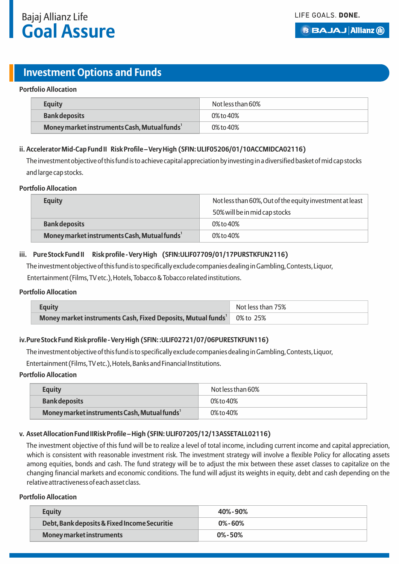

#### **B BAJAJ Allianz (ii)**

## **Investment Options and Funds**

#### **Portfolio Allocation**

| <b>Equity</b>                                            | Not less than 60% |
|----------------------------------------------------------|-------------------|
| <b>Bank deposits</b>                                     | 0% to 40%         |
| Money market instruments Cash, Mutual funds <sup>1</sup> | 0% to 40%         |

#### **ii. Accelerator Mid-Cap Fund II Risk Profile – Very High (SFIN: ULIF05206/01/10ACCMIDCA02116)**

The investment objective of this fund is to achieve capital appreciation by investing in a diversified basket of mid cap stocks and large cap stocks.

#### **Portfolio Allocation**

| <b>Equity</b>                                            | Not less than 60%, Out of the equity investment at least |  |
|----------------------------------------------------------|----------------------------------------------------------|--|
|                                                          | 50% will be in mid cap stocks                            |  |
| <b>Bank deposits</b>                                     | 0% to 40%                                                |  |
| Money market instruments Cash, Mutual funds <sup>1</sup> | $0\%$ to $40\%$                                          |  |

#### **iii. Pure Stock Fund II Risk profile - Very High (SFIN:ULIF07709/01/17PURSTKFUN2116)**

The investment objective of this fund is to specifically exclude companies dealing in Gambling, Contests, Liquor, Entertainment (Films, TV etc.), Hotels, Tobacco & Tobacco related institutions.

#### **Portfolio Allocation**

| <b>Equity</b>                                                                      | Not less than 75% |
|------------------------------------------------------------------------------------|-------------------|
| Money market instruments Cash, Fixed Deposits, Mutual funds <sup>1</sup> 0% to 25% |                   |

#### **iv. Pure Stock Fund Risk profile - Very High (SFIN: :ULIF02721/07/06PURESTKFUN116)**

The investment objective of this fund is to specifically exclude companies dealing in Gambling, Contests, Liquor,

Entertainment (Films, TV etc.), Hotels, Banks and Financial Institutions.

#### **Portfolio Allocation**

| <b>Equity</b>                                            | Not less than 60% |
|----------------------------------------------------------|-------------------|
| <b>Bank deposits</b>                                     | 0% to 40%         |
| Money market instruments Cash, Mutual funds <sup>1</sup> | 0% to 40%         |

#### **v. Asset Allocation Fund II Risk Profile – High (SFIN: ULIF07205/12/13ASSETALL02116)**

The investment objective of this fund will be to realize a level of total income, including current income and capital appreciation, which is consistent with reasonable investment risk. The investment strategy will involve a flexible Policy for allocating assets among equities, bonds and cash. The fund strategy will be to adjust the mix between these asset classes to capitalize on the changing financial markets and economic conditions. The fund will adjust its weights in equity, debt and cash depending on the relative attractiveness of each asset class.

#### **Portfolio Allocation**

| <b>Equity</b>                                | 40%-90%      |
|----------------------------------------------|--------------|
| Debt, Bank deposits & Fixed Income Securitie | $0\% - 60\%$ |
| Money market instruments                     | $0\% - 50\%$ |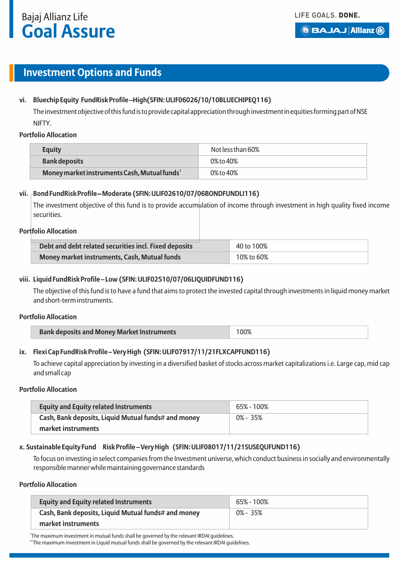## **Investment Options and Funds**

#### vi. Bluechip Equity Fund Risk Profile -High (SFIN: ULIF06026/10/10BLUECHIPEQ116)

The investment objective of this fund is to provide capital appreciation through investment in equities forming part of NSE NIFTY.

#### **Portfolio Allocation**

| <b>Equity</b>                                            | Not less than 60% |
|----------------------------------------------------------|-------------------|
| <b>Bank deposits</b>                                     | 0% to 40%         |
| Money market instruments Cash, Mutual funds <sup>1</sup> | 0% to 40%         |

#### **vii. Bond Fund Risk Profile – Moderate (SFIN: ULIF02610/07/06BONDFUNDLI116)**

The investment objective of this fund is to provide accumulation of income through investment in high quality fixed income securities.

#### **Portfolio Allocation**

| Debt and debt related securities incl. Fixed deposits | 40 to 100% |
|-------------------------------------------------------|------------|
| Money market instruments, Cash, Mutual funds          | 10% to 60% |

#### **viii. Liquid Fund Risk Profile – Low (SFIN: ULIF02510/07/06LIQUIDFUND116)**

The objective of this fund is to have a fund that aims to protect the invested capital through investments in liquid money market and short-term instruments.

#### **Portfolio Allocation**

| <b>Bank deposits and Money Market Instruments</b><br>100% |
|-----------------------------------------------------------|
|-----------------------------------------------------------|

#### **ix. Flexi Cap Fund Risk Profile – Very High (SFIN: ULIF07917/11/21FLXCAPFUND116)**

To achieve capital appreciation by investing in a diversified basket of stocks across market capitalizations i.e. Large cap, mid cap and small cap

#### **Portfolio Allocation**

| <b>Equity and Equity related Instruments</b>        | 65% - 100%  |
|-----------------------------------------------------|-------------|
| Cash, Bank deposits, Liquid Mutual funds# and money | $0\%$ - 35% |
| market instruments                                  |             |

#### **x. Sustainable Equity Fund Risk Profile – Very High (SFIN: ULIF08017/11/21SUSEQUFUND116)**

To focus on investing in select companies from the Investment universe, which conduct business in socially and environmentally responsible manner while maintaining governance standards

#### **Portfolio Allocation**

| <b>Equity and Equity related Instruments</b>        | 65% - 100%   |
|-----------------------------------------------------|--------------|
| Cash, Bank deposits, Liquid Mutual funds# and money | $0\% - 35\%$ |
| market instruments                                  |              |

1 The maximum investment in mutual funds shall be governed by the relevant IRDAI guidelines.

#1The maximum investment in Liquid mutual funds shall be governed by the relevant IRDAI guidelines.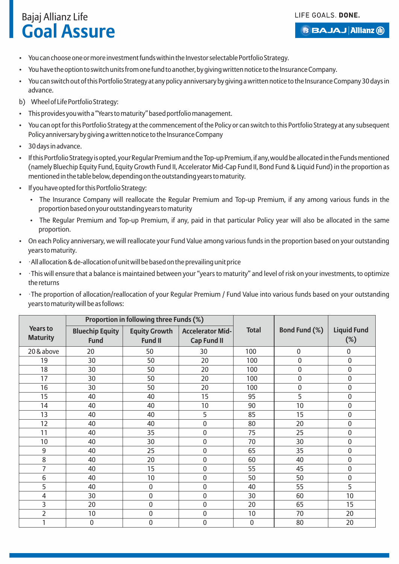- You can choose one or more investment funds within the Investor selectable Portfolio Strategy.
- You have the option to switch units from one fund to another, by giving written notice to the Insurance Company.
- You can switch out of this Portfolio Strategy at any policy anniversary by giving a written notice to the Insurance Company 30 days in advance.
- b) Wheel of Life Portfolio Strategy:
- This provides you with a "Years to maturity" based portfolio management.
- You can opt for this Portfolio Strategy at the commencement of the Policy or can switch to this Portfolio Strategy at any subsequent Policy anniversary by giving a written notice to the Insurance Company
- 30 days in advance.
- If this Portfolio Strategy is opted, your Regular Premium and the Top-up Premium, if any, would be allocated in the Funds mentioned (namely Bluechip Equity Fund, Equity Growth Fund II, Accelerator Mid-Cap Fund II, Bond Fund & Liquid Fund) in the proportion as mentioned in the table below, depending on the outstanding years to maturity.
- If you have opted for this Portfolio Strategy:
	- The Insurance Company will reallocate the Regular Premium and Top-up Premium, if any among various funds in the proportion based on your outstanding years to maturity
	- The Regular Premium and Top-up Premium, if any, paid in that particular Policy year will also be allocated in the same proportion.
- On each Policy anniversary, we will reallocate your Fund Value among various funds in the proportion based on your outstanding years to maturity.
- ·All allocation & de-allocation of unit will be based on the prevailing unit price
- ·This will ensure that a balance is maintained between your "years to maturity" and level of risk on your investments, to optimize the returns
- ·The proportion of allocation/reallocation of your Regular Premium / Fund Value into various funds based on your outstanding years to maturity will be as follows:

|                                    |                                       | Proportion in following three Funds (%) |                                               |              |                      |                              |
|------------------------------------|---------------------------------------|-----------------------------------------|-----------------------------------------------|--------------|----------------------|------------------------------|
| <b>Years to</b><br><b>Maturity</b> | <b>Bluechip Equity</b><br><b>Fund</b> | <b>Equity Growth</b><br><b>Fund II</b>  | <b>Accelerator Mid-</b><br><b>Cap Fund II</b> | <b>Total</b> | <b>Bond Fund (%)</b> | <b>Liquid Fund</b><br>$(\%)$ |
| 20 & above                         | 20                                    | 50                                      | 30                                            | 100          | $\mathbf 0$          | 0                            |
| 19                                 | 30                                    | 50                                      | 20                                            | 100          | $\mathbf 0$          | $\mathbf 0$                  |
| 18                                 | 30                                    | 50                                      | 20                                            | 100          | $\mathbf 0$          | 0                            |
| 17                                 | 30                                    | 50                                      | 20                                            | 100          | $\bf{0}$             | 0                            |
| 16                                 | 30                                    | 50                                      | 20                                            | 100          | 0                    | 0                            |
| 15                                 | 40                                    | 40                                      | 15                                            | 95           | 5                    | 0                            |
| 14                                 | 40                                    | 40                                      | 10                                            | 90           | 10                   | $\mathbf 0$                  |
| 13                                 | 40                                    | 40                                      | 5                                             | 85           | 15                   | 0                            |
| 12                                 | 40                                    | 40                                      | 0                                             | 80           | 20                   | $\mathbf 0$                  |
| 11                                 | 40                                    | 35                                      | 0                                             | 75           | 25                   | $\mathbf 0$                  |
| 10                                 | 40                                    | 30                                      | 0                                             | 70           | 30                   | 0                            |
| 9                                  | 40                                    | 25                                      | $\mathbf 0$                                   | 65           | 35                   | $\mathbf 0$                  |
| 8                                  | 40                                    | 20                                      | 0                                             | 60           | 40                   | $\mathbf 0$                  |
| $\overline{\mathcal{L}}$           | 40                                    | 15                                      | 0                                             | 55           | 45                   | 0                            |
| 6                                  | 40                                    | 10                                      | 0                                             | 50           | 50                   | 0                            |
| 5                                  | 40                                    | 0                                       | 0                                             | 40           | 55                   | 5                            |
| 4                                  | 30                                    | 0                                       | 0                                             | 30           | 60                   | 10                           |
| 3                                  | 20                                    | 0                                       | $\mathbf 0$                                   | 20           | 65                   | 15                           |
| $\overline{2}$                     | 10                                    | 0                                       | 0                                             | 10           | 70                   | 20                           |
|                                    | 0                                     | 0                                       | 0                                             | $\mathbf 0$  | 80                   | 20                           |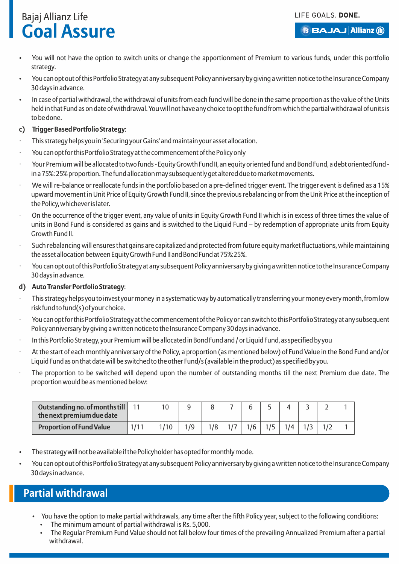LIFE GOALS. DONE.

## Bajaj Allianz Life **Goal Assure**

- **BBAJAJ Allianz (il)**
- You will not have the option to switch units or change the apportionment of Premium to various funds, under this portfolio strategy.
- You can opt out of this Portfolio Strategy at any subsequent Policy anniversary by giving a written notice to the Insurance Company 30 days in advance.
- In case of partial withdrawal, the withdrawal of units from each fund will be done in the same proportion as the value of the Units held in that Fund as on date of withdrawal. You will not have any choice to opt the fund from which the partial withdrawal of units is to be done.

#### **c) Trigger Based Portfolio Strategy**:

- This strategy helps you in 'Securing your Gains' and maintain your asset allocation.
- You can opt for this Portfolio Strategy at the commencement of the Policy only
- · Your Premium will be allocated to two funds Equity Growth Fund II, an equity oriented fund and Bond Fund, a debt oriented fund in a 75%: 25% proportion. The fund allocation may subsequently get altered due to market movements.
- We will re-balance or reallocate funds in the portfolio based on a pre-defined trigger event. The trigger event is defined as a 15% upward movement in Unit Price of Equity Growth Fund II, since the previous rebalancing or from the Unit Price at the inception of the Policy, whichever is later.
- On the occurrence of the trigger event, any value of units in Equity Growth Fund II which is in excess of three times the value of units in Bond Fund is considered as gains and is switched to the Liquid Fund – by redemption of appropriate units from Equity Growth Fund II.
- Such rebalancing will ensures that gains are capitalized and protected from future equity market fluctuations, while maintaining the asset allocation between Equity Growth Fund II and Bond Fund at 75%:25%.
- · You can opt out of this Portfolio Strategy at any subsequent Policy anniversary by giving a written notice to the Insurance Company 30 days in advance.

#### **d) Auto Transfer Portfolio Strategy**:

- · This strategy helps you to invest your money in a systematic way by automatically transferring your money every month, from low risk fund to fund(s) of your choice.
- · You can opt for this Portfolio Strategy at the commencement of the Policy or can switch to this Portfolio Strategy at any subsequent Policy anniversary by giving a written notice to the Insurance Company 30 days in advance.
- · In this Portfolio Strategy, your Premium will be allocated in Bond Fund and / or Liquid Fund, as specified by you
- At the start of each monthly anniversary of the Policy, a proportion (as mentioned below) of Fund Value in the Bond Fund and/or Liquid Fund as on that date will be switched to the other Fund/s (available in the product) as specified by you.
- The proportion to be switched will depend upon the number of outstanding months till the next Premium due date. The proportion would be as mentioned below:

| Outstanding no. of months till   11<br>the next premium due date |  |     |     |  |     |  |  |
|------------------------------------------------------------------|--|-----|-----|--|-----|--|--|
| <b>Proportion of Fund Value</b>                                  |  | 1/9 | 1/8 |  | 1/4 |  |  |

- The strategy will not be available if the Policyholder has opted for monthly mode.
- You can opt out of this Portfolio Strategy at any subsequent Policy anniversary by giving a written notice to the Insurance Company 30 days in advance.

## **Partial withdrawal**

- You have the option to make partial withdrawals, any time after the fifth Policy year, subject to the following conditions: The minimum amount of partial withdrawal is Rs. 5,000.
	- The Regular Premium Fund Value should not fall below four times of the prevailing Annualized Premium after a partial withdrawal.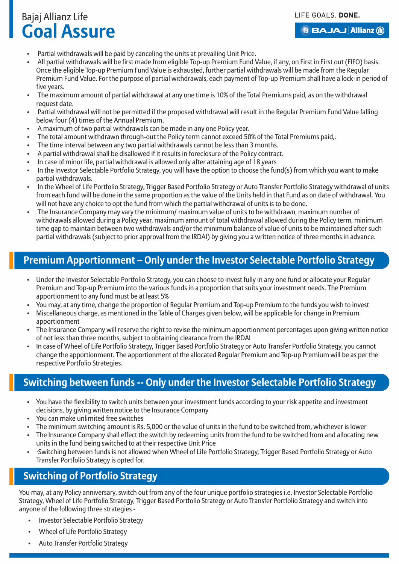#### LIFE GOALS. DONE.

## Bajaj Allianz Life **Goal Assure**

**BBAJAJ Allianz (ii)** 

- Partial withdrawals will be paid by canceling the units at prevailing Unit Price.
- All partial withdrawals will be first made from eligible Top-up Premium Fund Value, if any, on First in First out (FIFO) basis. Once the eligible Top-up Premium Fund Value is exhausted, further partial withdrawals will be made from the Regular Premium Fund Value. For the purpose of partial withdrawals, each payment of Top-up Premium shall have a lock-in period of five years.
- The maximum amount of partial withdrawal at any one time is 10% of the Total Premiums paid, as on the withdrawal request date.
- Partial withdrawal will not be permitted if the proposed withdrawal will result in the Regular Premium Fund Value falling below four (4) times of the Annual Premium.
- A maximum of two partial withdrawals can be made in any one Policy year.
- The total amount withdrawn through-out the Policy term cannot exceed 50% of the Total Premiums paid,.
- The time interval between any two partial withdrawals cannot be less than 3 months.
- A partial withdrawal shall be disallowed if it results in foreclosure of the Policy contract.
- In case of minor life, partial withdrawal is allowed only after attaining age of 18 years
- In the Investor Selectable Portfolio Strategy, you will have the option to choose the fund(s) from which you want to make partial withdrawals.
- In the Wheel of Life Portfolio Strategy, Trigger Based Portfolio Strategy or Auto Transfer Portfolio Strategy withdrawal of units from each fund will be done in the same proportion as the value of the Units held in that Fund as on date of withdrawal. You will not have any choice to opt the fund from which the partial withdrawal of units is to be done.
- The Insurance Company may vary the minimum/ maximum value of units to be withdrawn, maximum number of withdrawals allowed during a Policy year, maximum amount of total withdrawal allowed during the Policy term, minimum time gap to maintain between two withdrawals and/or the minimum balance of value of units to be maintained after such partial withdrawals (subject to prior approval from the IRDAI) by giving you a written notice of three months in advance.

## **Premium Apportionment – Only under the Investor Selectable Portfolio Strategy**

- Under the Investor Selectable Portfolio Strategy, you can choose to invest fully in any one fund or allocate your Regular Premium and Top-up Premium into the various funds in a proportion that suits your investment needs. The Premium apportionment to any fund must be at least 5%
- You may, at any time, change the proportion of Regular Premium and Top-up Premium to the funds you wish to invest
- Miscellaneous charge, as mentioned in the Table of Charges given below, will be applicable for change in Premium apportionment
- The Insurance Company will reserve the right to revise the minimum apportionment percentages upon giving written notice of not less than three months, subject to obtaining clearance from the IRDAI
- In case of Wheel of Life Portfolio Strategy, Trigger Based Portfolio Strategy or Auto Transfer Portfolio Strategy, you cannot change the apportionment. The apportionment of the allocated Regular Premium and Top-up Premium will be as per the respective Portfolio Strategies.

## **Switching between funds -- Only under the Investor Selectable Portfolio Strategy**

- You have the flexibility to switch units between your investment funds according to your risk appetite and investment decisions, by giving written notice to the Insurance Company
- You can make unlimited free switches
- The minimum switching amount is Rs. 5,000 or the value of units in the fund to be switched from, whichever is lower
- The Insurance Company shall effect the switch by redeeming units from the fund to be switched from and allocating new units in the fund being switched to at their respective Unit Price
- ·Switching between funds is not allowed when Wheel of Life Portfolio Strategy, Trigger Based Portfolio Strategy or Auto Transfer Portfolio Strategy is opted for.

## **Switching of Portfolio Strategy**

You may, at any Policy anniversary, switch out from any of the four unique portfolio strategies i.e. Investor Selectable Portfolio Strategy, Wheel of Life Portfolio Strategy, Trigger Based Portfolio Strategy or Auto Transfer Portfolio Strategy and switch into anyone of the following three strategies -

- Investor Selectable Portfolio Strategy
- Wheel of Life Portfolio Strategy
- Auto Transfer Portfolio Strategy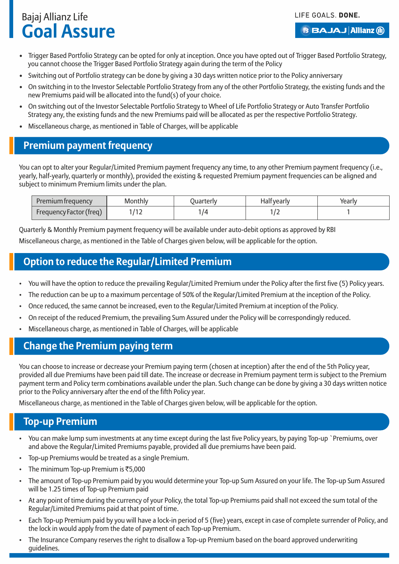**BBAJAJ Allianz (ii)** 

- Trigger Based Portfolio Strategy can be opted for only at inception. Once you have opted out of Trigger Based Portfolio Strategy, you cannot choose the Trigger Based Portfolio Strategy again during the term of the Policy
- Switching out of Portfolio strategy can be done by giving a 30 days written notice prior to the Policy anniversary
- On switching in to the Investor Selectable Portfolio Strategy from any of the other Portfolio Strategy, the existing funds and the new Premiums paid will be allocated into the fund(s) of your choice.
- On switching out of the Investor Selectable Portfolio Strategy to Wheel of Life Portfolio Strategy or Auto Transfer Portfolio Strategy any, the existing funds and the new Premiums paid will be allocated as per the respective Portfolio Strategy.
- Miscellaneous charge, as mentioned in Table of Charges, will be applicable

### **Premium payment frequency**

You can opt to alter your Regular/Limited Premium payment frequency any time, to any other Premium payment frequency (i.e., yearly, half-yearly, quarterly or monthly), provided the existing & requested Premium payment frequencies can be aligned and subject to minimum Premium limits under the plan.

| Premium frequency       | Monthly | Juarterly | <b>Half yearly</b> | Yearly |
|-------------------------|---------|-----------|--------------------|--------|
| Frequency Factor (freq) | . .     | 74        |                    |        |

Quarterly & Monthly Premium payment frequency will be available under auto-debit options as approved by RBI Miscellaneous charge, as mentioned in the Table of Charges given below, will be applicable for the option.

### **Option to reduce the Regular/Limited Premium**

- You will have the option to reduce the prevailing Regular/Limited Premium under the Policy after the first five (5) Policy years.
- The reduction can be up to a maximum percentage of 50% of the Regular/Limited Premium at the inception of the Policy.
- Once reduced, the same cannot be increased, even to the Regular/Limited Premium at inception of the Policy.
- On receipt of the reduced Premium, the prevailing Sum Assured under the Policy will be correspondingly reduced.
- Miscellaneous charge, as mentioned in Table of Charges, will be applicable

## **Change the Premium paying term**

You can choose to increase or decrease your Premium paying term (chosen at inception) after the end of the 5th Policy year, provided all due Premiums have been paid till date. The increase or decrease in Premium payment term is subject to the Premium payment term and Policy term combinations available under the plan. Such change can be done by giving a 30 days written notice prior to the Policy anniversary after the end of the fifth Policy year.

Miscellaneous charge, as mentioned in the Table of Charges given below, will be applicable for the option.

## **Top-up Premium**

- You can make lump sum investments at any time except during the last five Policy years, by paying Top-up `Premiums, over and above the Regular/Limited Premiums payable, provided all due premiums have been paid.
- Top-up Premiums would be treated as a single Premium.
- The minimum Top-up Premium is  $\overline{\text{55}}$ ,000
- The amount of Top-up Premium paid by you would determine your Top-up Sum Assured on your life. The Top-up Sum Assured will be 1.25 times of Top-up Premium paid
- At any point of time during the currency of your Policy, the total Top-up Premiums paid shall not exceed the sum total of the Regular/Limited Premiums paid at that point of time.
- Each Top-up Premium paid by you will have a lock-in period of 5 (five) years, except in case of complete surrender of Policy, and the lock in would apply from the date of payment of each Top-up Premium.
- The Insurance Company reserves the right to disallow a Top-up Premium based on the board approved underwriting guidelines.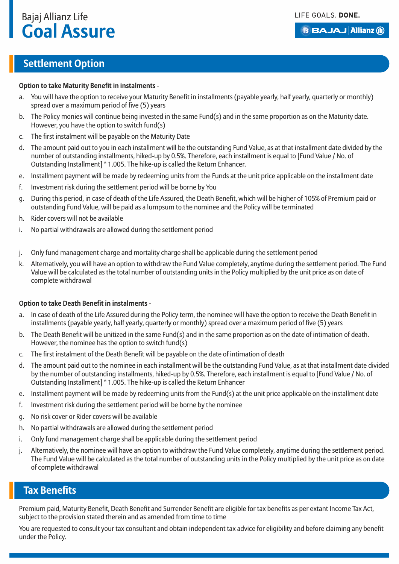#### **BBAJAJ Allianz (il)**

### **Settlement Option**

#### **Option to take Maturity Benefit in instalments** -

- a. You will have the option to receive your Maturity Benefit in installments (payable yearly, half yearly, quarterly or monthly) spread over a maximum period of five (5) years
- b. The Policy monies will continue being invested in the same Fund(s) and in the same proportion as on the Maturity date. However, you have the option to switch fund(s)
- c. The first instalment will be payable on the Maturity Date
- d. The amount paid out to you in each installment will be the outstanding Fund Value, as at that installment date divided by the number of outstanding installments, hiked-up by 0.5%. Therefore, each installment is equal to [Fund Value / No. of Outstanding Installment] \* 1.005. The hike-up is called the Return Enhancer.
- e. Installment payment will be made by redeeming units from the Funds at the unit price applicable on the installment date
- f. Investment risk during the settlement period will be borne by You
- g. During this period, in case of death of the Life Assured, the Death Benefit, which will be higher of 105% of Premium paid or outstanding Fund Value, will be paid as a lumpsum to the nominee and the Policy will be terminated
- h. Rider covers will not be available
- i. No partial withdrawals are allowed during the settlement period
- j. Only fund management charge and mortality charge shall be applicable during the settlement period
- k. Alternatively, you will have an option to withdraw the Fund Value completely, anytime during the settlement period. The Fund Value will be calculated as the total number of outstanding units in the Policy multiplied by the unit price as on date of complete withdrawal

#### **Option to take Death Benefit in instalments** -

- a. In case of death of the Life Assured during the Policy term, the nominee will have the option to receive the Death Benefit in installments (payable yearly, half yearly, quarterly or monthly) spread over a maximum period of five (5) years
- b. The Death Benefit will be unitized in the same Fund(s) and in the same proportion as on the date of intimation of death. However, the nominee has the option to switch fund(s)
- c. The first instalment of the Death Benefit will be payable on the date of intimation of death
- d. The amount paid out to the nominee in each installment will be the outstanding Fund Value, as at that installment date divided by the number of outstanding installments, hiked-up by 0.5%. Therefore, each installment is equal to [Fund Value / No. of Outstanding Installment] \* 1.005. The hike-up is called the Return Enhancer
- e. Installment payment will be made by redeeming units from the Fund(s) at the unit price applicable on the installment date
- f. Investment risk during the settlement period will be borne by the nominee
- g. No risk cover or Rider covers will be available
- h. No partial withdrawals are allowed during the settlement period
- i. Only fund management charge shall be applicable during the settlement period
- j. Alternatively, the nominee will have an option to withdraw the Fund Value completely, anytime during the settlement period. The Fund Value will be calculated as the total number of outstanding units in the Policy multiplied by the unit price as on date of complete withdrawal

#### **Tax Benefits**

Premium paid, Maturity Benefit, Death Benefit and Surrender Benefit are eligible for tax benefits as per extant Income Tax Act, subject to the provision stated therein and as amended from time to time

You are requested to consult your tax consultant and obtain independent tax advice for eligibility and before claiming any benefit under the Policy.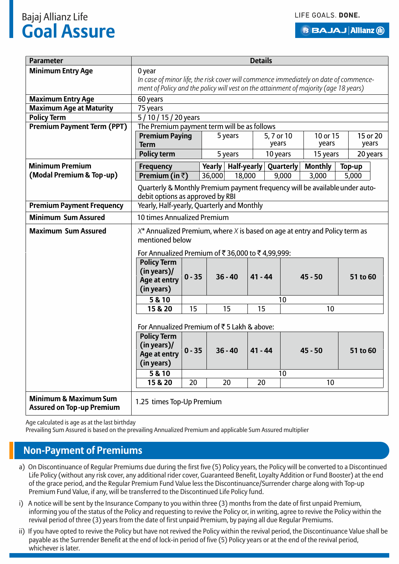**BBAJAJ Allianz (ii)** 

| <b>Parameter</b>                                                     |                                                                                                                                                                              |                                            |                  |                              | <b>Details</b> |                    |                         |                 |
|----------------------------------------------------------------------|------------------------------------------------------------------------------------------------------------------------------------------------------------------------------|--------------------------------------------|------------------|------------------------------|----------------|--------------------|-------------------------|-----------------|
| <b>Minimum Entry Age</b>                                             | 0 year                                                                                                                                                                       |                                            |                  |                              |                |                    |                         |                 |
|                                                                      | In case of minor life, the risk cover will commence immediately on date of commence-<br>ment of Policy and the policy will vest on the attainment of majority (age 18 years) |                                            |                  |                              |                |                    |                         |                 |
|                                                                      |                                                                                                                                                                              |                                            |                  |                              |                |                    |                         |                 |
| <b>Maximum Entry Age</b>                                             | 60 years                                                                                                                                                                     |                                            |                  |                              |                |                    |                         |                 |
| <b>Maximum Age at Maturity</b><br><b>Policy Term</b>                 |                                                                                                                                                                              | 75 years<br>5/10/15/20 years               |                  |                              |                |                    |                         |                 |
| <b>Premium Payment Term (PPT)</b>                                    | The Premium payment term will be as follows                                                                                                                                  |                                            |                  |                              |                |                    |                         |                 |
|                                                                      | <b>Premium Paying</b>                                                                                                                                                        |                                            |                  | 5 years                      |                | 5, 7 or 10         | 10 or 15                | 15 or 20        |
|                                                                      | <b>Term</b>                                                                                                                                                                  |                                            |                  |                              |                | years              | years                   | years           |
|                                                                      | <b>Policy term</b>                                                                                                                                                           |                                            |                  | 5 years                      |                | 10 years           | 15 years                | 20 years        |
| <b>Minimum Premium</b>                                               |                                                                                                                                                                              |                                            |                  |                              |                |                    |                         |                 |
| (Modal Premium & Top-up)                                             | <b>Frequency</b><br>Premium (in $\bar{z}$ )                                                                                                                                  |                                            | Yearly<br>36,000 | <b>Half-yearly</b><br>18,000 |                | Quarterly<br>9,000 | <b>Monthly</b><br>3,000 | Top-up<br>5,000 |
|                                                                      |                                                                                                                                                                              |                                            |                  |                              |                |                    |                         |                 |
|                                                                      | Quarterly & Monthly Premium payment frequency will be available under auto-                                                                                                  |                                            |                  |                              |                |                    |                         |                 |
|                                                                      | debit options as approved by RBI                                                                                                                                             |                                            |                  |                              |                |                    |                         |                 |
| <b>Premium Payment Frequency</b>                                     |                                                                                                                                                                              | Yearly, Half-yearly, Quarterly and Monthly |                  |                              |                |                    |                         |                 |
| <b>Minimum Sum Assured</b>                                           | 10 times Annualized Premium                                                                                                                                                  |                                            |                  |                              |                |                    |                         |                 |
| <b>Maximum Sum Assured</b>                                           | $X^*$ Annualized Premium, where X is based on age at entry and Policy term as<br>mentioned below                                                                             |                                            |                  |                              |                |                    |                         |                 |
|                                                                      | For Annualized Premium of ₹36,000 to ₹4,99,999:                                                                                                                              |                                            |                  |                              |                |                    |                         |                 |
|                                                                      | <b>Policy Term</b><br>(in years)                                                                                                                                             |                                            |                  |                              |                |                    |                         |                 |
|                                                                      | $0 - 35$<br>Age at entry                                                                                                                                                     |                                            |                  | $36 - 40$                    | $41 - 44$      |                    | $45 - 50$               | 51 to 60        |
|                                                                      | (in years)                                                                                                                                                                   |                                            |                  |                              |                |                    |                         |                 |
|                                                                      | 5 & 10                                                                                                                                                                       |                                            |                  |                              |                | 10                 |                         |                 |
|                                                                      | 15 & 20                                                                                                                                                                      | 15                                         |                  | 15                           | 15             |                    | 10                      |                 |
|                                                                      | For Annualized Premium of ₹5 Lakh & above:                                                                                                                                   |                                            |                  |                              |                |                    |                         |                 |
|                                                                      | <b>Policy Term</b>                                                                                                                                                           |                                            |                  |                              |                |                    |                         |                 |
|                                                                      | (in years)/                                                                                                                                                                  |                                            |                  |                              |                |                    |                         | 51 to 60        |
|                                                                      | $0 - 35$<br>$36 - 40$<br>$41 - 44$<br>$45 - 50$<br>Age at entry                                                                                                              |                                            |                  |                              |                |                    |                         |                 |
|                                                                      | (in years)                                                                                                                                                                   |                                            |                  |                              |                |                    |                         |                 |
|                                                                      | 5 & 10                                                                                                                                                                       |                                            |                  |                              |                | 10                 |                         |                 |
|                                                                      | 15 & 20<br>20<br>20<br>20<br>10                                                                                                                                              |                                            |                  |                              |                |                    |                         |                 |
| <b>Minimum &amp; Maximum Sum</b><br><b>Assured on Top-up Premium</b> | 1.25 times Top-Up Premium                                                                                                                                                    |                                            |                  |                              |                |                    |                         |                 |

Age calculated is age as at the last birthday

Prevailing Sum Assured is based on the prevailing Annualized Premium and applicable Sum Assured multiplier

#### **Non-Payment of Premiums**

- a) On Discontinuance of Regular Premiums due during the first five (5) Policy years, the Policy will be converted to a Discontinued Life Policy (without any risk cover, any additional rider cover, Guaranteed Benefit, Loyalty Addition or Fund Booster) at the end of the grace period, and the Regular Premium Fund Value less the Discontinuance/Surrender charge along with Top-up Premium Fund Value, if any, will be transferred to the Discontinued Life Policy fund.
- i) A notice will be sent by the Insurance Company to you within three (3) months from the date of first unpaid Premium, informing you of the status of the Policy and requesting to revive the Policy or, in writing, agree to revive the Policy within the revival period of three (3) years from the date of first unpaid Premium, by paying all due Regular Premiums.
- ii) If you have opted to revive the Policy but have not revived the Policy within the revival period, the Discontinuance Value shall be payable as the Surrender Benefit at the end of lock-in period of five (5) Policy years or at the end of the revival period, whichever is later.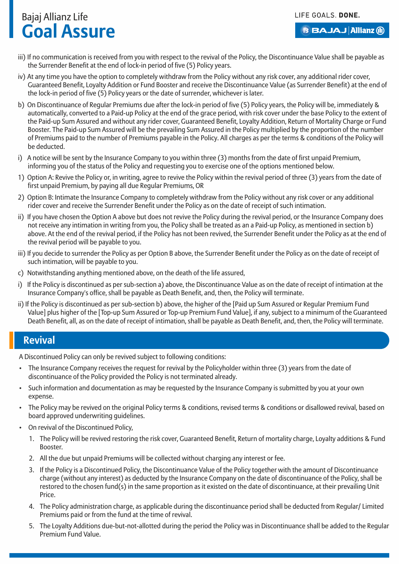#### **BBAJAJ Allianz (ii)**

- iii) If no communication is received from you with respect to the revival of the Policy, the Discontinuance Value shall be payable as the Surrender Benefit at the end of lock-in period of five (5) Policy years.
- iv) At any time you have the option to completely withdraw from the Policy without any risk cover, any additional rider cover, Guaranteed Benefit, Loyalty Addition or Fund Booster and receive the Discontinuance Value (as Surrender Benefit) at the end of the lock-in period of five (5) Policy years or the date of surrender, whichever is later.
- b) On Discontinuance of Regular Premiums due after the lock-in period of five (5) Policy years, the Policy will be, immediately & automatically, converted to a Paid-up Policy at the end of the grace period, with risk cover under the base Policy to the extent of the Paid-up Sum Assured and without any rider cover, Guaranteed Benefit, Loyalty Addition, Return of Mortality Charge or Fund Booster. The Paid-up Sum Assured will be the prevailing Sum Assured in the Policy multiplied by the proportion of the number of Premiums paid to the number of Premiums payable in the Policy. All charges as per the terms & conditions of the Policy will be deducted.
- i) A notice will be sent by the Insurance Company to you within three (3) months from the date of first unpaid Premium, informing you of the status of the Policy and requesting you to exercise one of the options mentioned below.
- 1) Option A: Revive the Policy or, in writing, agree to revive the Policy within the revival period of three (3) years from the date of first unpaid Premium, by paying all due Regular Premiums, OR
- 2) Option B: Intimate the Insurance Company to completely withdraw from the Policy without any risk cover or any additional rider cover and receive the Surrender Benefit under the Policy as on the date of receipt of such intimation.
- ii) If you have chosen the Option A above but does not revive the Policy during the revival period, or the Insurance Company does not receive any intimation in writing from you, the Policy shall be treated as an a Paid-up Policy, as mentioned in section b) above. At the end of the revival period, if the Policy has not been revived, the Surrender Benefit under the Policy as at the end of the revival period will be payable to you.
- iii) If you decide to surrender the Policy as per Option B above, the Surrender Benefit under the Policy as on the date of receipt of such intimation, will be payable to you.
- c) Notwithstanding anything mentioned above, on the death of the life assured,
- i) If the Policy is discontinued as per sub-section a) above, the Discontinuance Value as on the date of receipt of intimation at the Insurance Company's office, shall be payable as Death Benefit, and, then, the Policy will terminate.
- ii) If the Policy is discontinued as per sub-section b) above, the higher of the [Paid up Sum Assured or Regular Premium Fund Value] plus higher of the [Top-up Sum Assured or Top-up Premium Fund Value], if any, subject to a minimum of the Guaranteed Death Benefit, all, as on the date of receipt of intimation, shall be payable as Death Benefit, and, then, the Policy will terminate.

#### **Revival**

A Discontinued Policy can only be revived subject to following conditions:

- The Insurance Company receives the request for revival by the Policyholder within three (3) years from the date of discontinuance of the Policy provided the Policy is not terminated already.
- Such information and documentation as may be requested by the Insurance Company is submitted by you at your own expense.
- The Policy may be revived on the original Policy terms & conditions, revised terms & conditions or disallowed revival, based on board approved underwriting guidelines.
- On revival of the Discontinued Policy,
	- 1. The Policy will be revived restoring the risk cover, Guaranteed Benefit, Return of mortality charge, Loyalty additions & Fund Booster.
	- 2. All the due but unpaid Premiums will be collected without charging any interest or fee.
	- 3. If the Policy is a Discontinued Policy, the Discontinuance Value of the Policy together with the amount of Discontinuance charge (without any interest) as deducted by the Insurance Company on the date of discontinuance of the Policy, shall be restored to the chosen fund(s) in the same proportion as it existed on the date of discontinuance, at their prevailing Unit Price.
	- 4. The Policy administration charge, as applicable during the discontinuance period shall be deducted from Regular/ Limited Premiums paid or from the fund at the time of revival.
	- 5. The Loyalty Additions due-but-not-allotted during the period the Policy was in Discontinuance shall be added to the Regular Premium Fund Value.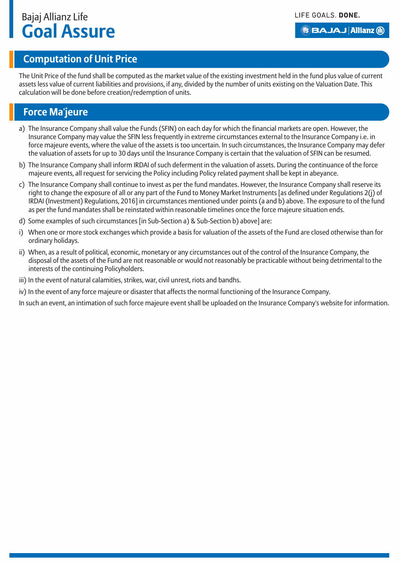#### **B BAJAJ Allianz (ii)**

## **Computation of Unit Price**

The Unit Price of the fund shall be computed as the market value of the existing investment held in the fund plus value of current assets less value of current liabilities and provisions, if any, divided by the number of units existing on the Valuation Date. This calculation will be done before creation/redemption of units.

## **Force Ma'jeure**

- a) The Insurance Company shall value the Funds (SFIN) on each day for which the financial markets are open. However, the Insurance Company may value the SFIN less frequently in extreme circumstances external to the Insurance Company i.e. in force majeure events, where the value of the assets is too uncertain. In such circumstances, the Insurance Company may defer the valuation of assets for up to 30 days until the Insurance Company is certain that the valuation of SFIN can be resumed.
- b) The Insurance Company shall inform IRDAI of such deferment in the valuation of assets. During the continuance of the force majeure events, all request for servicing the Policy including Policy related payment shall be kept in abeyance.
- c) The Insurance Company shall continue to invest as per the fund mandates. However, the Insurance Company shall reserve its right to change the exposure of all or any part of the Fund to Money Market Instruments [as defined under Regulations 2(j) of IRDAI (Investment) Regulations, 2016] in circumstances mentioned under points (a and b) above. The exposure to of the fund as per the fund mandates shall be reinstated within reasonable timelines once the force majeure situation ends.
- d) Some examples of such circumstances [in Sub-Section a) & Sub-Section b) above] are:
- i) When one or more stock exchanges which provide a basis for valuation of the assets of the Fund are closed otherwise than for ordinary holidays.
- ii) When, as a result of political, economic, monetary or any circumstances out of the control of the Insurance Company, the disposal of the assets of the Fund are not reasonable or would not reasonably be practicable without being detrimental to the interests of the continuing Policyholders.
- iii) In the event of natural calamities, strikes, war, civil unrest, riots and bandhs.
- iv) In the event of any force majeure or disaster that affects the normal functioning of the Insurance Company.

In such an event, an intimation of such force majeure event shall be uploaded on the Insurance Company's website for information.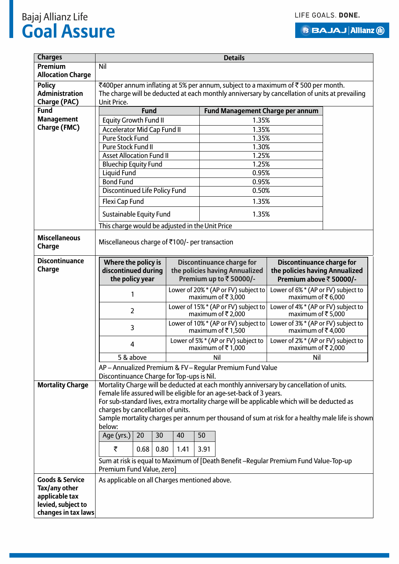**BBAJAJ Allianz (1)** 

## Bajaj Allianz Life **Goal Assure**

| <b>Charges</b>                              | <b>Details</b>                                                                                 |      |      |      |                                                                       |                                                                                                 |  |  |  |
|---------------------------------------------|------------------------------------------------------------------------------------------------|------|------|------|-----------------------------------------------------------------------|-------------------------------------------------------------------------------------------------|--|--|--|
| Premium                                     | Nil                                                                                            |      |      |      |                                                                       |                                                                                                 |  |  |  |
| <b>Allocation Charge</b>                    |                                                                                                |      |      |      |                                                                       |                                                                                                 |  |  |  |
| <b>Policy</b>                               | ₹400 per annum inflating at 5% per annum, subject to a maximum of ₹500 per month.              |      |      |      |                                                                       |                                                                                                 |  |  |  |
| <b>Administration</b>                       | The charge will be deducted at each monthly anniversary by cancellation of units at prevailing |      |      |      |                                                                       |                                                                                                 |  |  |  |
| <b>Charge (PAC)</b>                         | Unit Price.                                                                                    |      |      |      |                                                                       |                                                                                                 |  |  |  |
| <b>Fund</b>                                 | <b>Fund</b>                                                                                    |      |      |      |                                                                       | <b>Fund Management Charge per annum</b>                                                         |  |  |  |
| <b>Management</b>                           | Equity Growth Fund II                                                                          |      |      |      | 1.35%                                                                 |                                                                                                 |  |  |  |
| Charge (FMC)                                | Accelerator Mid Cap Fund II                                                                    |      |      |      | 1.35%                                                                 |                                                                                                 |  |  |  |
|                                             | <b>Pure Stock Fund</b>                                                                         |      |      |      | 1.35%                                                                 |                                                                                                 |  |  |  |
|                                             | Pure Stock Fund II                                                                             |      |      |      | 1.30%                                                                 |                                                                                                 |  |  |  |
|                                             | <b>Asset Allocation Fund II</b>                                                                |      |      |      | 1.25%                                                                 |                                                                                                 |  |  |  |
|                                             | <b>Bluechip Equity Fund</b>                                                                    |      |      |      | 1.25%                                                                 |                                                                                                 |  |  |  |
|                                             | <b>Liquid Fund</b>                                                                             |      |      |      | 0.95%                                                                 |                                                                                                 |  |  |  |
|                                             | <b>Bond Fund</b>                                                                               |      |      |      | 0.95%                                                                 |                                                                                                 |  |  |  |
|                                             | <b>Discontinued Life Policy Fund</b>                                                           |      |      |      | 0.50%                                                                 |                                                                                                 |  |  |  |
|                                             | Flexi Cap Fund                                                                                 |      |      |      | 1.35%                                                                 |                                                                                                 |  |  |  |
|                                             | Sustainable Equity Fund                                                                        |      |      |      | 1.35%                                                                 |                                                                                                 |  |  |  |
|                                             | This charge would be adjusted in the Unit Price                                                |      |      |      |                                                                       |                                                                                                 |  |  |  |
|                                             |                                                                                                |      |      |      |                                                                       |                                                                                                 |  |  |  |
| <b>Miscellaneous</b><br>Charge              | Miscellaneous charge of ₹100/- per transaction                                                 |      |      |      |                                                                       |                                                                                                 |  |  |  |
| <b>Discontinuance</b>                       | Where the policy is                                                                            |      |      |      | <b>Discontinuance charge for</b>                                      | <b>Discontinuance charge for</b>                                                                |  |  |  |
| Charge                                      | discontinued during                                                                            |      |      |      | the policies having Annualized                                        | the policies having Annualized                                                                  |  |  |  |
|                                             | the policy year                                                                                |      |      |      | Premium up to ₹50000/-                                                | Premium above ₹ 50000/-                                                                         |  |  |  |
|                                             | 1                                                                                              |      |      |      | Lower of 20% * (AP or FV) subject to<br>maximum of ₹3,000             | Lower of 6% * (AP or FV) subject to<br>maximum of ₹6,000                                        |  |  |  |
|                                             | $\overline{2}$                                                                                 |      |      |      | Lower of 15% * (AP or FV) subject to<br>maximum of ₹2,000             | Lower of 4% * (AP or FV) subject to<br>maximum of ₹5,000                                        |  |  |  |
|                                             | 3                                                                                              |      |      |      | Lower of 10% * (AP or FV) subject to<br>maximum of $\bar{\tau}$ 1,500 | Lower of 3% * (AP or FV) subject to<br>maximum of ₹4,000                                        |  |  |  |
|                                             | 4                                                                                              |      |      |      | Lower of 5% * (AP or FV) subject to<br>maximum of $\bar{\tau}$ 1,000  | Lower of 2% * (AP or FV) subject to<br>maximum of $\overline{5}$ 2,000                          |  |  |  |
|                                             | 5 & above                                                                                      |      |      |      | Nil                                                                   | Nil                                                                                             |  |  |  |
|                                             | AP - Annualized Premium & FV - Regular Premium Fund Value                                      |      |      |      |                                                                       |                                                                                                 |  |  |  |
|                                             | Discontinuance Charge for Top-ups is Nil.                                                      |      |      |      |                                                                       |                                                                                                 |  |  |  |
| <b>Mortality Charge</b>                     |                                                                                                |      |      |      |                                                                       | Mortality Charge will be deducted at each monthly anniversary by cancellation of units.         |  |  |  |
|                                             | Female life assured will be eligible for an age-set-back of 3 years.                           |      |      |      |                                                                       |                                                                                                 |  |  |  |
|                                             |                                                                                                |      |      |      |                                                                       | For sub-standard lives, extra mortality charge will be applicable which will be deducted as     |  |  |  |
|                                             | charges by cancellation of units.                                                              |      |      |      |                                                                       |                                                                                                 |  |  |  |
|                                             |                                                                                                |      |      |      |                                                                       | Sample mortality charges per annum per thousand of sum at risk for a healthy male life is shown |  |  |  |
|                                             | below:                                                                                         |      |      |      |                                                                       |                                                                                                 |  |  |  |
|                                             | 20<br>Age (yrs.)                                                                               | 30   | 40   | 50   |                                                                       |                                                                                                 |  |  |  |
|                                             | ₹<br>0.68                                                                                      | 0.80 | 1.41 | 3.91 |                                                                       |                                                                                                 |  |  |  |
|                                             |                                                                                                |      |      |      |                                                                       |                                                                                                 |  |  |  |
|                                             | Premium Fund Value, zero]                                                                      |      |      |      |                                                                       | Sum at risk is equal to Maximum of [Death Benefit - Regular Premium Fund Value-Top-up           |  |  |  |
|                                             |                                                                                                |      |      |      |                                                                       |                                                                                                 |  |  |  |
| <b>Goods &amp; Service</b><br>Tax/any other | As applicable on all Charges mentioned above.                                                  |      |      |      |                                                                       |                                                                                                 |  |  |  |
| applicable tax                              |                                                                                                |      |      |      |                                                                       |                                                                                                 |  |  |  |
| levied, subject to                          |                                                                                                |      |      |      |                                                                       |                                                                                                 |  |  |  |
| changes in tax laws                         |                                                                                                |      |      |      |                                                                       |                                                                                                 |  |  |  |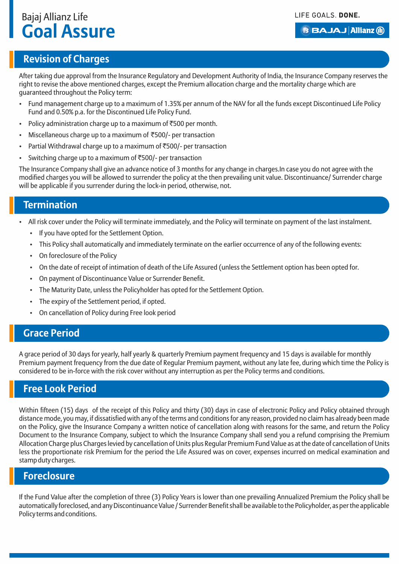#### **BBAJAJ Allianz (ii)**

## **Revision of Charges**

After taking due approval from the Insurance Regulatory and Development Authority of India, the Insurance Company reserves the right to revise the above mentioned charges, except the Premium allocation charge and the mortality charge which are guaranteed throughout the Policy term:

- Fund management charge up to a maximum of 1.35% per annum of the NAV for all the funds except Discontinued Life Policy Fund and 0.50% p.a. for the Discontinued Life Policy Fund.
- Policy administration charge up to a maximum of  $\overline{5}500$  per month.
- Miscellaneous charge up to a maximum of  $\overline{500}$ /- per transaction
- Partial Withdrawal charge up to a maximum of  $\overline{5500}$ /- per transaction
- Switching charge up to a maximum of  $\overline{5500}$  per transaction

The Insurance Company shall give an advance notice of 3 months for any change in charges.In case you do not agree with the modified charges you will be allowed to surrender the policy at the then prevailing unit value. Discontinuance/ Surrender charge will be applicable if you surrender during the lock-in period, otherwise, not.

### **Termination**

- All risk cover under the Policy will terminate immediately, and the Policy will terminate on payment of the last instalment.
	- If you have opted for the Settlement Option.
	- This Policy shall automatically and immediately terminate on the earlier occurrence of any of the following events:
	- On foreclosure of the Policy
	- On the date of receipt of intimation of death of the Life Assured (unless the Settlement option has been opted for.
	- On payment of Discontinuance Value or Surrender Benefit.
	- The Maturity Date, unless the Policyholder has opted for the Settlement Option.
	- The expiry of the Settlement period, if opted.
	- On cancellation of Policy during Free look period

#### **Grace Period**

A grace period of 30 days for yearly, half yearly & quarterly Premium payment frequency and 15 days is available for monthly Premium payment frequency from the due date of Regular Premium payment, without any late fee, during which time the Policy is considered to be in-force with the risk cover without any interruption as per the Policy terms and conditions.

### **Free Look Period**

Within fifteen (15) days of the receipt of this Policy and thirty (30) days in case of electronic Policy and Policy obtained through distance mode, you may, if dissatisfied with any of the terms and conditions for any reason, provided no claim has already been made on the Policy, give the Insurance Company a written notice of cancellation along with reasons for the same, and return the Policy Document to the Insurance Company, subject to which the Insurance Company shall send you a refund comprising the Premium Allocation Charge plus Charges levied by cancellation of Units plus Regular Premium Fund Value as at the date of cancellation of Units less the proportionate risk Premium for the period the Life Assured was on cover, expenses incurred on medical examination and stamp duty charges.

#### **Foreclosure**

If the Fund Value after the completion of three (3) Policy Years is lower than one prevailing Annualized Premium the Policy shall be automatically foreclosed, and any Discontinuance Value / Surrender Benefit shall be available to the Policyholder, as per the applicable Policy terms and conditions.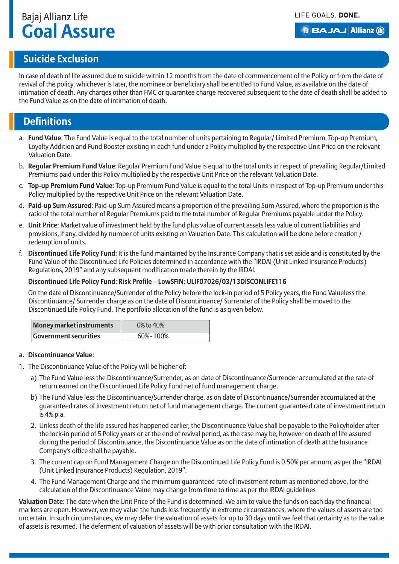#### **BBAJAJ Allianz (il)**

## **Suicide Exclusion**

In case of death of life assured due to suicide within 12 months from the date of commencement of the Policy or from the date of revival of the policy, whichever is later, the nominee or beneficiary shall be entitled to Fund Value, as available on the date of intimation of death. Any charges other than FMC or guarantee charge recovered subsequent to the date of death shall be added to the Fund Value as on the date of intimation of death.

#### **Definitions**

- a. **Fund Value**: The Fund Value is equal to the total number of units pertaining to Regular/ Limited Premium, Top-up Premium, Loyalty Addition and Fund Booster existing in each fund under a Policy multiplied by the respective Unit Price on the relevant Valuation Date.
- b. **Regular Premium Fund Value**: Regular Premium Fund Value is equal to the total units in respect of prevailing Regular/Limited Premiums paid under this Policy multiplied by the respective Unit Price on the relevant Valuation Date.
- c. **Top-up Premium Fund Value**: Top-up Premium Fund Value is equal to the total Units in respect of Top-up Premium under this Policy multiplied by the respective Unit Price on the relevant Valuation Date.
- d. **Paid-up Sum Assured**: Paid-up Sum Assured means a proportion of the prevailing Sum Assured, where the proportion is the ratio of the total number of Regular Premiums paid to the total number of Regular Premiums payable under the Policy.
- e. **Unit Price**: Market value of investment held by the fund plus value of current assets less value of current liabilities and provisions, if any, divided by number of units existing on Valuation Date. This calculation will be done before creation / redemption of units.
- f. **Discontinued Life Policy Fund**: It is the fund maintained by the Insurance Company that is set aside and is constituted by the Fund Value of the Discontinued Life Policies determined in accordance with the "IRDAI (Unit Linked Insurance Products) Regulations, 2019" and any subsequent modification made therein by the IRDAI.

#### **Discontinued Life Policy Fund: Risk Profile – Low SFIN: ULIF07026/03/13DISCONLIFE116**

On the date of Discontinuance/Surrender of the Policy before the lock-in period of 5 Policy years, the Fund Valueless the Discontinuance/ Surrender charge as on the date of Discontinuance/ Surrender of the Policy shall be moved to the Discontinued Life Policy Fund. The portfolio allocation of the fund is as given below.

| Money market instruments     | 0% to 40% |
|------------------------------|-----------|
| <b>Government securities</b> | 60%-100%  |

#### **a. Discontinuance Value**:

- 1. The Discontinuance Value of the Policy will be higher of:
	- a) The Fund Value less the Discontinuance/Surrender, as on date of Discontinuance/Surrender accumulated at the rate of return earned on the Discontinued Life Policy Fund net of fund management charge.
	- b) The Fund Value less the Discontinuance/Surrender charge, as on date of Discontinuance/Surrender accumulated at the guaranteed rates of investment return net of fund management charge. The current guaranteed rate of investment return is 4% p.a.
	- 2. Unless death of the life assured has happened earlier, the Discontinuance Value shall be payable to the Policyholder after the lock-in period of 5 Policy years or at the end of revival period, as the case may be, however on death of life assured during the period of Discontinuance, the Discontinuance Value as on the date of intimation of death at the Insurance Company's office shall be payable.
	- 3. The current cap on Fund Management Charge on the Discontinued Life Policy Fund is 0.50% per annum, as per the "IRDAI (Unit Linked Insurance Products) Regulation, 2019".
	- 4. The Fund Management Charge and the minimum guaranteed rate of investment return as mentioned above, for the calculation of the Discontinuance Value may change from time to time as per the IRDAI guidelines

**Valuation Date**: The date when the Unit Price of the Fund is determined. We aim to value the funds on each day the financial markets are open. However, we may value the funds less frequently in extreme circumstances, where the values of assets are too uncertain. In such circumstances, we may defer the valuation of assets for up to 30 days until we feel that certainty as to the value of assets is resumed. The deferment of valuation of assets will be with prior consultation with the IRDAI.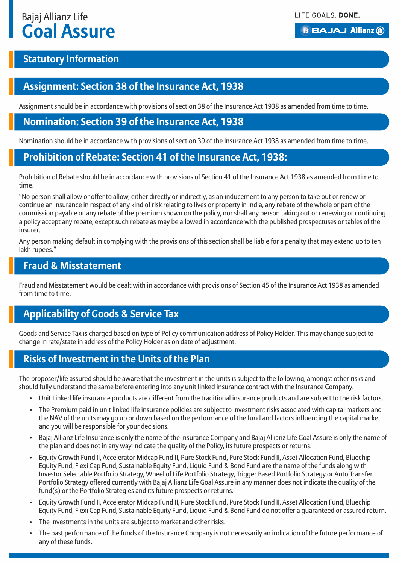#### **BBAJAJ Allianz (il)**

## **Statutory Information**

## **Assignment: Section 38 of the Insurance Act, 1938**

Assignment should be in accordance with provisions of section 38 of the Insurance Act 1938 as amended from time to time.

### **Nomination: Section 39 of the Insurance Act, 1938**

Nomination should be in accordance with provisions of section 39 of the Insurance Act 1938 as amended from time to time.

## **Prohibition of Rebate: Section 41 of the Insurance Act, 1938:**

Prohibition of Rebate should be in accordance with provisions of Section 41 of the Insurance Act 1938 as amended from time to time.

"No person shall allow or offer to allow, either directly or indirectly, as an inducement to any person to take out or renew or continue an insurance in respect of any kind of risk relating to lives or property in India, any rebate of the whole or part of the commission payable or any rebate of the premium shown on the policy, nor shall any person taking out or renewing or continuing a policy accept any rebate, except such rebate as may be allowed in accordance with the published prospectuses or tables of the insurer.

Any person making default in complying with the provisions of this section shall be liable for a penalty that may extend up to ten lakh rupees."

#### **Fraud & Misstatement**

Fraud and Misstatement would be dealt with in accordance with provisions of Section 45 of the Insurance Act 1938 as amended from time to time.

## **Applicability of Goods & Service Tax**

Goods and Service Tax is charged based on type of Policy communication address of Policy Holder. This may change subject to change in rate/state in address of the Policy Holder as on date of adjustment.

## **Risks of Investment in the Units of the Plan**

The proposer/life assured should be aware that the investment in the units is subject to the following, amongst other risks and should fully understand the same before entering into any unit linked insurance contract with the Insurance Company.

- Unit Linked life insurance products are different from the traditional insurance products and are subject to the risk factors.
- The Premium paid in unit linked life insurance policies are subject to investment risks associated with capital markets and the NAV of the units may go up or down based on the performance of the fund and factors influencing the capital market and you will be responsible for your decisions.
- Bajaj Allianz Life Insurance is only the name of the insurance Company and Bajaj Allianz Life Goal Assure is only the name of the plan and does not in any way indicate the quality of the Policy, its future prospects or returns.
- Equity Growth Fund II, Accelerator Midcap Fund II, Pure Stock Fund, Pure Stock Fund II, Asset Allocation Fund, Bluechip Equity Fund, Flexi Cap Fund, Sustainable Equity Fund, Liquid Fund & Bond Fund are the name of the funds along with Investor Selectable Portfolio Strategy, Wheel of Life Portfolio Strategy, Trigger Based Portfolio Strategy or Auto Transfer Portfolio Strategy offered currently with Bajaj Allianz Life Goal Assure in any manner does not indicate the quality of the fund(s) or the Portfolio Strategies and its future prospects or returns.
- Equity Growth Fund II, Accelerator Midcap Fund II, Pure Stock Fund, Pure Stock Fund II, Asset Allocation Fund, Bluechip Equity Fund, Flexi Cap Fund, Sustainable Equity Fund, Liquid Fund & Bond Fund do not offer a guaranteed or assured return.
- The investments in the units are subject to market and other risks.
- The past performance of the funds of the Insurance Company is not necessarily an indication of the future performance of any of these funds.